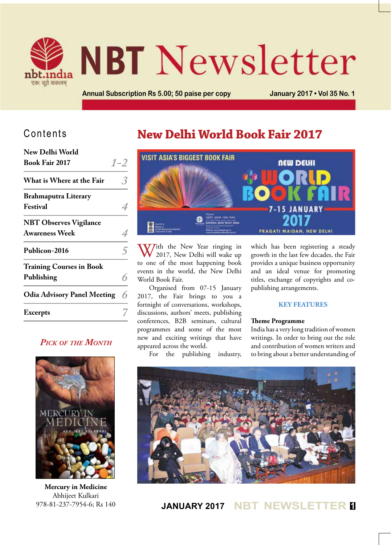

# **NBT** Newsletter

**Annual Subscription Rs 5.00; 50 paise per copy January 2017 • Vol 35 No. 1**

## Contents

| New Delhi World                                        |         |
|--------------------------------------------------------|---------|
| <b>Book Fair 2017</b>                                  | $1 - 2$ |
| What is Where at the Fair                              |         |
| <b>Brahmaputra Literary</b><br>Festival                |         |
| <b>NBT Observes Vigilance</b><br><b>Awareness Week</b> |         |
| Publicon-2016                                          | 5       |
| <b>Training Courses in Book</b><br>Publishing          | 6       |
| <b>Odia Advisory Panel Meeting</b>                     | 6       |
| <b>Excerpts</b>                                        |         |
|                                                        |         |

## *Pick of the Month*



**Mercury in Medicine** Abhijeet Kulkari 978-81-237-7954-6; Rs 140

# **New Delhi World Book Fair 2017**



With the New Year ringing in<br>
2017, New Delhi will wake up to one of the most happening book events in the world, the New Delhi World Book Fair.

Organised from 07-15 January 2017, the Fair brings to you a fortnight of conversations, workshops, discussions, authors' meets, publishing conferences, B2B seminars, cultural programmes and some of the most new and exciting writings that have appeared across the world.

For the publishing industry,

which has been registering a steady growth in the last few decades, the Fair provides a unique business opportunity and an ideal venue for promoting titles, exchange of copyrights and copublishing arrangements.

#### **Key Features**

#### **Theme Programme**

India has a very long tradition of women writings. In order to bring out the role and contribution of women writers and to bring about a better understanding of



## **JANUARY 2017 NBT NEWSLETTER <sup>1</sup>**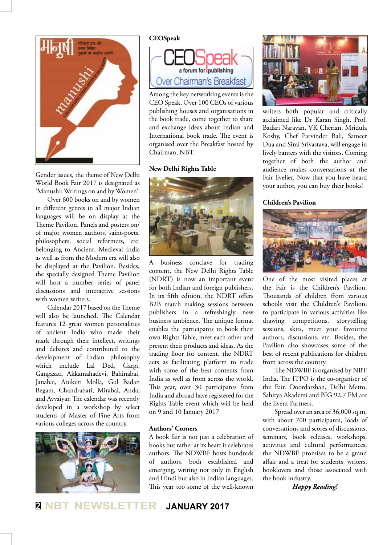

Gender issues, the theme of New Delhi World Book Fair 2017 is designated as 'Manushi: Writings on and by Women'.

Over 600 books on and by women in different genres in all major Indian languages will be on display at the Theme Pavilion. Panels and posters on/ of major women authors, saint-poets, philosophers, social reformers, etc. belonging to Ancient, Medieval India as well as from the Modern era will also be displayed at the Pavilion. Besides, the specially designed Theme Pavilion will host a number series of panel discussions and interactive sessions with women writers.

Calendar 2017 based on the Theme will also be launched. The Calendar features 12 great women personalities of ancient India who made their mark through their intellect, writings and debates and contributed to the development of Indian philosophy which include Lal Ded, Gargi, Gangasati, Akkamahadevi, Bahinabai, Janabai, Atukuti Molla, Gul Badan Begam, Chandrabati, Mirabai, Andal and Avvaiyar. The calendar was recently developed in a workshop by select students of Master of Fine Arts from various colleges across the country.



#### **CEOSpeak**



Among the key networking events is the CEO Speak. Over 100 CEOs of various publishing houses and organisations in the book trade, come together to share and exchange ideas about Indian and International book trade. The event is organised over the Breakfast hosted by Chairman, NBT.

#### **New Delhi Rights Table**



A business conclave for trading content, the New Delhi Rights Table (NDRT) is now an important event for both Indian and foreign publishers. In its fifth edition, the NDRT offers B2B match making sessions between publishers in a refreshingly new business ambience. The unique format enables the participants to book their own Rights Table, meet each other and present their products and ideas. As the trading floor for content, the NDRT acts as facilitating platform to trade with some of the best contents from India as well as from across the world. This year, over 30 participants from India and abroad have registered for the Rights Table event which will be held on 9 and 10 January 2017

#### **Authors' Corners**

A book fair is not just a celebration of books but rather at its heart it celebrates authors. The NDWBF hosts hundreds of authors, both established and emerging, writing not only in English and Hindi but also in Indian languages. This year too some of the well-known



writers both popular and critically acclaimed like Dr Karan Singh, Prof. Badari Narayan, VK Cherian, Mridula Koshy, Chef Parvinder Bali, Sameer Dua and Simi Srivastava, will engage in lively banters with the visitors. Coming together of both the author and audience makes conversations at the Fair livelier. Now that you have heard your author, you can buy their books!

#### **Children's Pavilion**



One of the most visited places at the Fair is the Children's Pavilion. Thousands of children from various schools visit the Children's Pavilion, to participate in various activities like drawing competitions, storytelling sessions, skits, meet your favourite authors, discussions, etc. Besides, the Pavilion also showcases some of the best of recent publications for children from across the country.

The NDWBF is organised by NBT India. The ITPO is the co-organiser of the Fair. Doordarshan, Delhi Metro, Sahitya Akademi and BIG 92.7 FM are the Event Partners.

Spread over an area of 36,000 sq.m. with about 700 participants, loads of conversations and scores of discussions, seminars, book releases, workshops, activities and cultural performances, the NDWBF promises to be a grand affair and a treat for students, writers, booklovers and those associated with the book industry.

*Happy Reading!*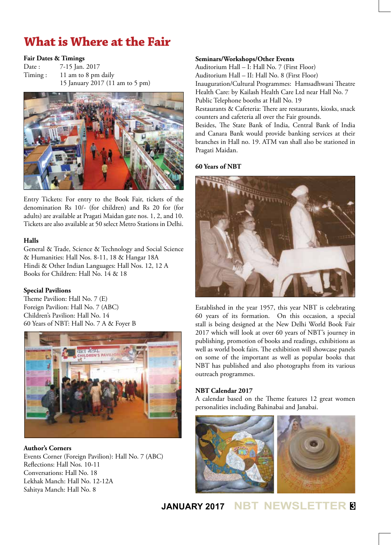# **What is Where at the Fair**

#### **Fair Dates & Timings**

Date : 7-15 Jan. 2017 Timing : 11 am to 8 pm daily 15 January 2017 (11 am to 5 pm)



Entry Tickets: For entry to the Book Fair, tickets of the denomination Rs 10/- (for children) and Rs 20 for (for adults) are available at Pragati Maidan gate nos. 1, 2, and 10. Tickets are also available at 50 select Metro Stations in Delhi.

#### **Halls**

General & Trade, Science & Technology and Social Science & Humanities: Hall Nos. 8-11, 18 & Hangar 18A Hindi & Other Indian Languages: Hall Nos. 12, 12 A Books for Children: Hall No. 14 & 18

#### **Special Pavilions**

Theme Pavilion: Hall No. 7 (E) Foreign Pavilion: Hall No. 7 (ABC) Children's Pavilion: Hall No. 14 60 Years of NBT: Hall No. 7 A & Foyer B



**Author's Corners** Events Corner (Foreign Pavilion): Hall No. 7 (ABC) Reflections: Hall Nos. 10-11 Conversations: Hall No. 18 Lekhak Manch: Hall No. 12-12A Sahitya Manch: Hall No. 8

#### **Seminars/Workshops/Other Events**

Auditorium Hall – I: Hall No. 7 (First Floor) Auditorium Hall – II: Hall No. 8 (First Floor) Inauguration/Cultural Programmes: Hamsadhwani Theatre Health Care: by Kailash Health Care Ltd near Hall No. 7 Public Telephone booths at Hall No. 19 Restaurants & Cafeteria: There are restaurants, kiosks, snack counters and cafeteria all over the Fair grounds. Besides, The State Bank of India, Central Bank of India

and Canara Bank would provide banking services at their branches in Hall no. 19. ATM van shall also be stationed in Pragati Maidan.

#### **60 Years of NBT**



Established in the year 1957, this year NBT is celebrating 60 years of its formation. On this occasion, a special stall is being designed at the New Delhi World Book Fair 2017 which will look at over 60 years of NBT's journey in publishing, promotion of books and readings, exhibitions as well as world book fairs. The exhibition will showcase panels on some of the important as well as popular books that NBT has published and also photographs from its various outreach programmes.

#### **NBT Calendar 2017**

A calendar based on the Theme features 12 great women personalities including Bahinabai and Janabai.



## **JANUARY 2017 NBT NEWSLETTER <sup>3</sup>**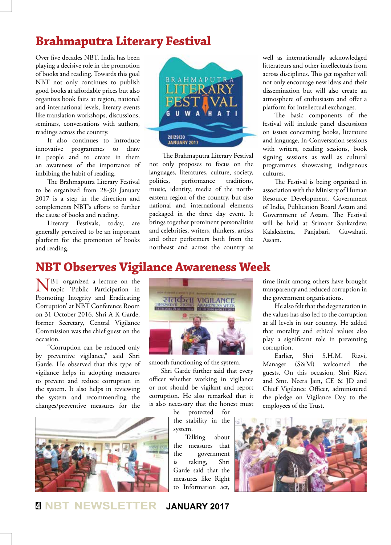## **Brahmaputra Literary Festival**

Over five decades NBT, India has been playing a decisive role in the promotion of books and reading. Towards this goal NBT not only continues to publish good books at affordable prices but also organizes book fairs at region, national and international levels, literary events like translation workshops, discussions, seminars, conversations with authors, readings across the country.

It also continues to introduce innovative programmes to draw in people and to create in them an awareness of the importance of imbibing the habit of reading.

The Brahmaputra Literary Festival to be organized from 28-30 January 2017 is a step in the direction and complements NBT's efforts to further the cause of books and reading.

Literary Festivals, today, are generally perceived to be an important platform for the promotion of books and reading.



 The Brahmaputra Literary Festival not only proposes to focus on the languages, literatures, culture, society, politics, performance traditions, music, identity, media of the northeastern region of the country, but also national and international elements packaged in the three day event. It brings together prominent personalities and celebrities, writers, thinkers, artists and other performers both from the northeast and across the country as

well as internationally acknowledged litterateurs and other intellectuals from across disciplines. This get together will not only encourage new ideas and their dissemination but will also create an atmosphere of enthusiasm and offer a platform for intellectual exchanges.

The basic components of the festival will include panel discussions on issues concerning books, literature and language, In-Conversation sessions with writers, reading sessions, book signing sessions as well as cultural programmes showcasing indigenous cultures.

The Festival is being organized in association with the Ministry of Human Resource Development, Government of India, Publication Board Assam and Government of Assam. The Festival will be held at Srimant Sankardeva Kalakshetra, Panjabari, Guwahati, Assam.

## **NBT Observes Vigilance Awareness Week**

BT organized a lecture on the topic 'Public Participation in Promoting Integrity and Eradicating Corruption' at NBT Conference Room on 31 October 2016. Shri A K Garde, former Secretary, Central Vigilance Commission was the chief guest on the occasion.

"Corruption can be reduced only by preventive vigilance," said Shri Garde. He observed that this type of vigilance helps in adopting measures to prevent and reduce corruption in the system. It also helps in reviewing the system and recommending the changes/preventive measures for the



सतर्कता VIGILANCE

smooth functioning of the system.

Shri Garde further said that every officer whether working in vigilance or not should be vigilant and report corruption. He also remarked that it is also necessary that the honest must

be protected for the stability in the system.

Talking about the measures that the government is taking, Shri Garde said that the measures like Right to Information act,

time limit among others have brought transparency and reduced corruption in the government organisations.

He also felt that the degeneration in the values has also led to the corruption at all levels in our country. He added that morality and ethical values also play a significant role in preventing corruption.

Earlier, Shri S.H.M. Rizvi, Manager (S&M) welcomed the guests. On this occasion, Shri Rizvi and Smt. Neera Jain, CE & JD and Chief Vigilance Officer, administered the pledge on Vigilance Day to the employees of the Trust.



**<sup>4</sup> NBT NEWSLETTER JANUARY 2017**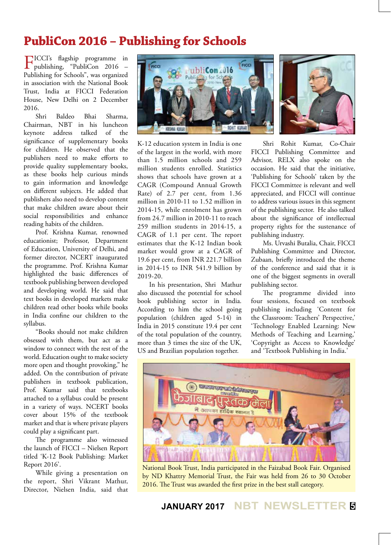# **PubliCon 2016 – Publishing for Schools**

FICCI's flagship programme in publishing, "PubliCon 2016 – Publishing for Schools", was organized in association with the National Book Trust, India at FICCI Federation House, New Delhi on 2 December 2016.

Shri Baldeo Bhai Sharma, Chairman, NBT in his luncheon keynote address talked of the significance of supplementary books for children. He observed that the publishers need to make efforts to provide quality supplementary books, as these books help curious minds to gain information and knowledge on different subjects. He added that publishers also need to develop content that make children aware about their social responsibilities and enhance reading habits of the children.

Prof. Krishna Kumar, renowned educationist; Professor, Department of Education, University of Delhi, and former director, NCERT inaugurated the programme. Prof. Krishna Kumar highlighted the basic differences of textbook publishing between developed and developing world. He said that text books in developed markets make children read other books while books in India confine our children to the syllabus.

"Books should not make children obsessed with them, but act as a window to connect with the rest of the world. Education ought to make society more open and thought provoking," he added. On the contribution of private publishers in textbook publication, Prof. Kumar said that textbooks attached to a syllabus could be present in a variety of ways. NCERT books cover about 15% of the textbook market and that is where private players could play a significant part.

The programme also witnessed the launch of FICCI – Nielsen Report titled 'K-12 Book Publishing: Market Report 2016'.

While giving a presentation on the report, Shri Vikrant Mathur, Director, Nielsen India, said that



K-12 education system in India is one of the largest in the world, with more than 1.5 million schools and 259 million students enrolled. Statistics shows that schools have grown at a CAGR (Compound Annual Growth Rate) of 2.7 per cent, from 1.36 million in 2010-11 to 1.52 million in 2014-15, while enrolment has grown from 24.7 million in 2010-11 to reach 259 million students in 2014-15, a CAGR of 1.1 per cent. The report estimates that the K-12 Indian book market would grow at a CAGR of 19.6 per cent, from INR 221.7 billion in 2014-15 to INR 541.9 billion by 2019-20.

In his presentation, Shri Mathur also discussed the potential for school book publishing sector in India. According to him the school going population (children aged 5-14) in India in 2015 constitute 19.4 per cent of the total population of the country, more than 3 times the size of the UK, US and Brazilian population together.

Shri Rohit Kumar, Co-Chair

FICCI Publishing Committee and Advisor, RELX also spoke on the occasion. He said that the initiative, 'Publishing for Schools' taken by the FICCI Committee is relevant and well appreciated, and FICCI will continue to address various issues in this segment of the publishing sector. He also talked about the significance of intellectual property rights for the sustenance of publishing industry.

Ms. Urvashi Butalia, Chair, FICCI Publishing Committee and Director, Zubaan, briefly introduced the theme of the conference and said that it is one of the biggest segments in overall publishing sector.

The programme divided into four sessions, focused on textbook publishing including 'Content for the Classroom: Teachers' Perspective,' 'Technology Enabled Learning: New Methods of Teaching and Learning,' 'Copyright as Access to Knowledge' and 'Textbook Publishing in India.'



National Book Trust, India participated in the Faizabad Book Fair. Organised by ND Khattry Memorial Trust, the Fair was held from 26 to 30 October 2016. The Trust was awarded the first prize in the best stall category.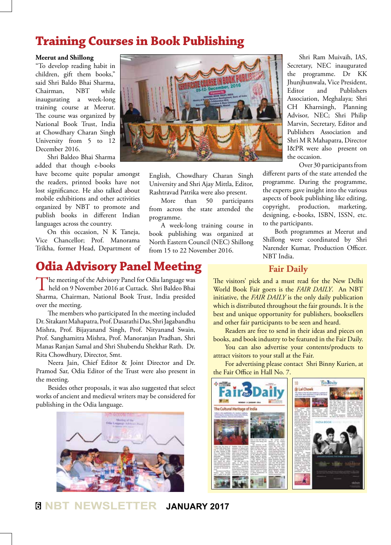## **Training Courses in Book Publishing**

#### **Meerut and Shillong**

"To develop reading habit in children, gift them books," said Shri Baldo Bhai Sharma, Chairman, NBT while inaugurating a week-long training course at Meerut. The course was organized by National Book Trust, India at Chowdhary Charan Singh University from 5 to 12 December 2016.

Shri Baldeo Bhai Sharma added that though e-books

have become quite popular amongst the readers, printed books have not lost significance. He also talked about mobile exhibitions and other activities organized by NBT to promote and publish books in different Indian languages across the country.

On this occasion, N K Taneja, Vice Chancellor; Prof. Manorama Trikha, former Head, Department of



English, Chowdhary Charan Singh University and Shri Ajay Mittla, Editor, Rashtravad Patrika were also present.

More than 50 participants from across the state attended the programme.

A week-long training course in book publishing was organized at North Eastern Council (NEC) Shillong from 15 to 22 November 2016.

Shri Ram Muivaih, IAS, Secretary, NEC inaugurated the programme. Dr KK Jhunjhunwala, Vice President, Editor and Publishers Association, Meghalaya; Shri CH Kharrsingh, Planning Advisor, NEC; Shri Philip Marvin, Secretary, Editor and Publishers Association and Shri M R Mahapatra, Director I&PR were also present on the occasion.

Over 30 participants from

different parts of the state attended the programme. During the programme, the experts gave insight into the various aspects of book publishing like editing, copyright, production, marketing, designing, e-books, ISBN, ISSN, etc. to the participants.

Both programmes at Meerut and Shillong were coordinated by Shri Narender Kumar, Production Officer. NBT India.

## **Odia Advisory Panel Meeting**

The meeting of the Advisory Panel for Odia language was<br>held on 9 November 2016 at Cuttack. Shri Baldeo Bhai Sharma, Chairman, National Book Trust, India presided over the meeting.

The members who participated In the meeting included Dr. Sitakant Mahapatra, Prof. Dasarathi Das, Shri Jagabandhu Mishra, Prof. Bijayanand Singh, Prof. Nityanand Swain, Prof. Sanghamitra Mishra, Prof. Manoranjan Pradhan, Shri Manas Ranjan Samal and Shri Shubendu Shekhar Rath. Dr. Rita Chowdhury, Director, Smt.

Neera Jain, Chief Editor & Joint Director and Dr. Pramod Sar, Odia Editor of the Trust were also present in the meeting.

Besides other proposals, it was also suggested that select works of ancient and medieval writers may be considered for publishing in the Odia language.



**Fair Daily**

The visitors' pick and a must read for the New Delhi World Book Fair goers is the *FAIR DAILY*. An NBT initiative, the *FAIR DAILY* is the only daily publication which is distributed throughout the fair grounds. It is the best and unique opportunity for publishers, booksellers and other fair participants to be seen and heard.

Readers are free to send in their ideas and pieces on books, and book industry to be featured in the Fair Daily.

You can also advertise your contents/products to attract visitors to your stall at the Fair.

For advertising please contact Shri Binny Kurien, at the Fair Office in Hall No. 7.



## **<sup>6</sup> NBT NEWSLETTER JANUARY 2017**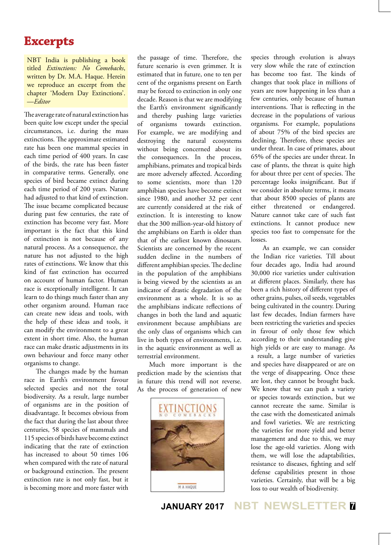## **Excerpts**

NBT India is publishing a book titled *Extinctions: No Comebacks*, written by Dr. M.A. Haque. Herein we reproduce an excerpt from the chapter 'Modern Day Extinctions'. —*Editor*

The average rate of natural extinction has been quite low except under the special circumstances, i.e. during the mass extinctions. The approximate estimated rate has been one mammal species in each time period of 400 years. In case of the birds, the rate has been faster in comparative terms. Generally, one species of bird became extinct during each time period of 200 years. Nature had adjusted to that kind of extinction. The issue became complicated because during past few centuries, the rate of extinction has become very fast. More important is the fact that this kind of extinction is not because of any natural process. As a consequence, the nature has not adjusted to the high rates of extinctions. We know that this kind of fast extinction has occurred on account of human factor. Human race is exceptionally intelligent. It can learn to do things much faster than any other organism around. Human race can create new ideas and tools, with the help of these ideas and tools, it can modify the environment to a great extent in short time. Also, the human race can make drastic adjustments in its own behaviour and force many other organisms to change.

The changes made by the human race in Earth's environment favour selected species and not the total biodiversity. As a result, large number of organisms are in the position of disadvantage. It becomes obvious from the fact that during the last about three centuries, 58 species of mammals and 115 species of birds have become extinct indicating that the rate of extinction has increased to about 50 times 106 when compared with the rate of natural or background extinction. The present extinction rate is not only fast, but it is becoming more and more faster with

the passage of time. Therefore, the future scenario is even grimmer. It is estimated that in future, one to ten per cent of the organisms present on Earth may be forced to extinction in only one decade. Reason is that we are modifying the Earth's environment significantly and thereby pushing large varieties of organisms towards extinction. For example, we are modifying and destroying the natural ecosystems without being concerned about its the consequences. In the process, amphibians, primates and tropical birds are more adversely affected. According to some scientists, more than 120 amphibian species have become extinct since 1980, and another 32 per cent are currently considered at the risk of extinction. It is interesting to know that the 300 million-year-old history of the amphibians on Earth is older than that of the earliest known dinosaurs. Scientists are concerned by the recent sudden decline in the numbers of different amphibian species. The decline in the population of the amphibians is being viewed by the scientists as an indicator of drastic degradation of the environment as a whole. It is so as the amphibians indicate reflections of changes in both the land and aquatic environment because amphibians are the only class of organisms which can live in both types of environments, i.e. in the aquatic environment as well as terrestrial environment.

Much more important is the prediction made by the scientists that in future this trend will not reverse. As the process of generation of new



species through evolution is always very slow while the rate of extinction has become too fast. The kinds of changes that took place in millions of years are now happening in less than a few centuries, only because of human interventions. That is reflecting in the decrease in the populations of various organisms. For example, populations of about 75% of the bird species are declining. Therefore, these species are under threat. In case of primates, about 65% of the species are under threat. In case of plants, the threat is quite high for about three per cent of species. The percentage looks insignificant. But if we consider in absolute terms, it means that about 8500 species of plants are either threatened or endangered. Nature cannot take care of such fast extinctions. It cannot produce new species too fast to compensate for the losses.

As an example, we can consider the Indian rice varieties. Till about four decades ago, India had around 30,000 rice varieties under cultivation at different places. Similarly, there has been a rich history of different types of other grains, pulses, oil seeds, vegetables being cultivated in the country. During last few decades, Indian farmers have been restricting the varieties and species in favour of only those few which according to their understanding give high yields or are easy to manage. As a result, a large number of varieties and species have disappeared or are on the verge of disappearing. Once these are lost, they cannot be brought back. We know that we can push a variety or species towards extinction, but we cannot recreate the same. Similar is the case with the domesticated animals and fowl varieties. We are restricting the varieties for more yield and better management and due to this, we may lose the age-old varieties. Along with them, we will lose the adaptabilities, resistance to diseases, fighting and self defense capabilities present in those varieties. Certainly, that will be a big loss to our wealth of biodiversity.

**JANUARY 2017 NBT NEWSLETTER <sup>7</sup>**